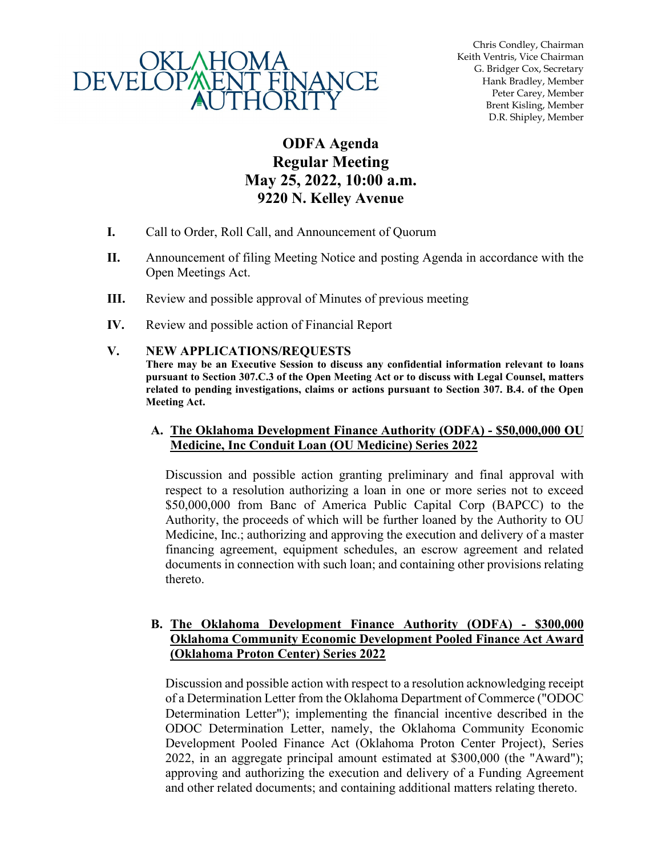

Chris Condley, Chairman Keith Ventris, Vice Chairman G. Bridger Cox, Secretary Hank Bradley, Member Peter Carey, Member Brent Kisling, Member D.R. Shipley, Member

# **ODFA Agenda Regular Meeting May 25, 2022, 10:00 a.m. 9220 N. Kelley Avenue**

- **I.** Call to Order, Roll Call, and Announcement of Quorum
- **II.** Announcement of filing Meeting Notice and posting Agenda in accordance with the Open Meetings Act.
- **III.** Review and possible approval of Minutes of previous meeting
- **IV.** Review and possible action of Financial Report

#### **V. NEW APPLICATIONS/REQUESTS**

**There may be an Executive Session to discuss any confidential information relevant to loans pursuant to Section 307.C.3 of the Open Meeting Act or to discuss with Legal Counsel, matters related to pending investigations, claims or actions pursuant to Section 307. B.4. of the Open Meeting Act.**

#### **A. The Oklahoma Development Finance Authority (ODFA) - \$50,000,000 OU Medicine, Inc Conduit Loan (OU Medicine) Series 2022**

Discussion and possible action granting preliminary and final approval with respect to a resolution authorizing a loan in one or more series not to exceed \$50,000,000 from Banc of America Public Capital Corp (BAPCC) to the Authority, the proceeds of which will be further loaned by the Authority to OU Medicine, Inc.; authorizing and approving the execution and delivery of a master financing agreement, equipment schedules, an escrow agreement and related documents in connection with such loan; and containing other provisions relating thereto.

#### **B. The Oklahoma Development Finance Authority (ODFA) - \$300,000 Oklahoma Community Economic Development Pooled Finance Act Award (Oklahoma Proton Center) Series 2022**

Discussion and possible action with respect to a resolution acknowledging receipt of a Determination Letter from the Oklahoma Department of Commerce ("ODOC Determination Letter"); implementing the financial incentive described in the ODOC Determination Letter, namely, the Oklahoma Community Economic Development Pooled Finance Act (Oklahoma Proton Center Project), Series 2022, in an aggregate principal amount estimated at \$300,000 (the "Award"); approving and authorizing the execution and delivery of a Funding Agreement and other related documents; and containing additional matters relating thereto.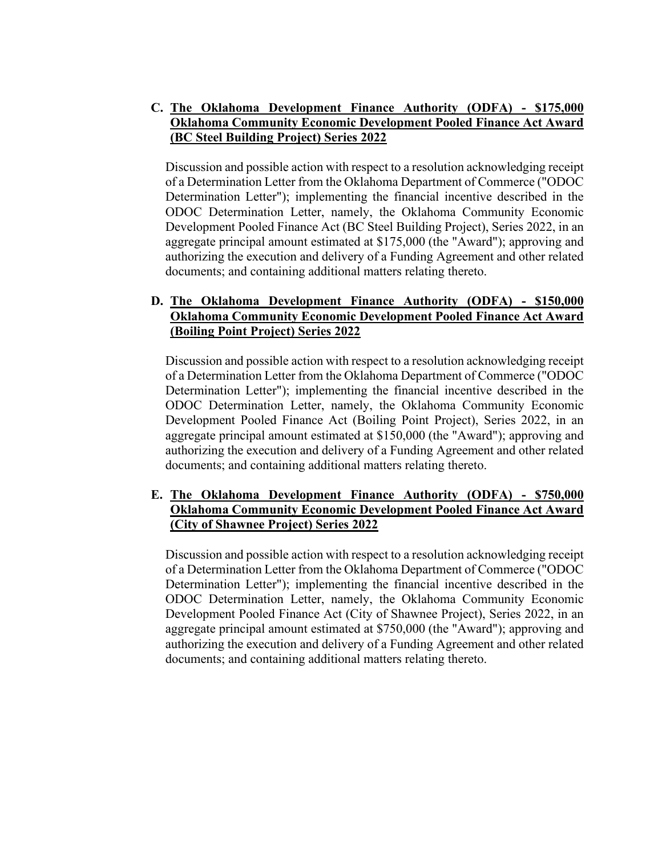## **C. The Oklahoma Development Finance Authority (ODFA) - \$175,000 Oklahoma Community Economic Development Pooled Finance Act Award (BC Steel Building Project) Series 2022**

Discussion and possible action with respect to a resolution acknowledging receipt of a Determination Letter from the Oklahoma Department of Commerce ("ODOC Determination Letter"); implementing the financial incentive described in the ODOC Determination Letter, namely, the Oklahoma Community Economic Development Pooled Finance Act (BC Steel Building Project), Series 2022, in an aggregate principal amount estimated at \$175,000 (the "Award"); approving and authorizing the execution and delivery of a Funding Agreement and other related documents; and containing additional matters relating thereto.

## **D. The Oklahoma Development Finance Authority (ODFA) - \$150,000 Oklahoma Community Economic Development Pooled Finance Act Award (Boiling Point Project) Series 2022**

Discussion and possible action with respect to a resolution acknowledging receipt of a Determination Letter from the Oklahoma Department of Commerce ("ODOC Determination Letter"); implementing the financial incentive described in the ODOC Determination Letter, namely, the Oklahoma Community Economic Development Pooled Finance Act (Boiling Point Project), Series 2022, in an aggregate principal amount estimated at \$150,000 (the "Award"); approving and authorizing the execution and delivery of a Funding Agreement and other related documents; and containing additional matters relating thereto.

### **E. The Oklahoma Development Finance Authority (ODFA) - \$750,000 Oklahoma Community Economic Development Pooled Finance Act Award (City of Shawnee Project) Series 2022**

Discussion and possible action with respect to a resolution acknowledging receipt of a Determination Letter from the Oklahoma Department of Commerce ("ODOC Determination Letter"); implementing the financial incentive described in the ODOC Determination Letter, namely, the Oklahoma Community Economic Development Pooled Finance Act (City of Shawnee Project), Series 2022, in an aggregate principal amount estimated at \$750,000 (the "Award"); approving and authorizing the execution and delivery of a Funding Agreement and other related documents; and containing additional matters relating thereto.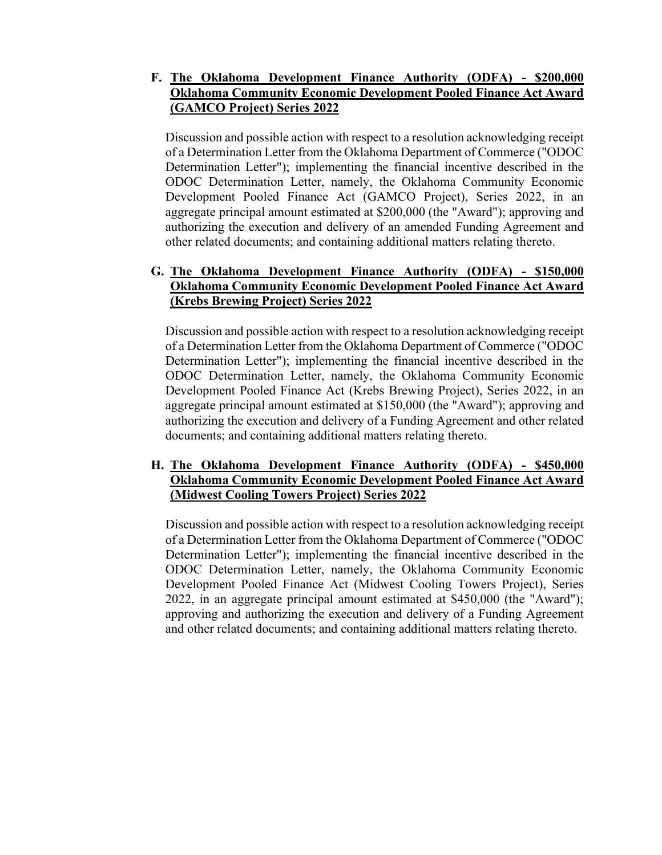# **F. The Oklahoma Development Finance Authority (ODFA) - \$200,000 Oklahoma Community Economic Development Pooled Finance Act Award (GAMCO Project) Series 2022**

Discussion and possible action with respect to a resolution acknowledging receipt of a Determination Letter from the Oklahoma Department of Commerce ("ODOC Determination Letter"); implementing the financial incentive described in the ODOC Determination Letter, namely, the Oklahoma Community Economic Development Pooled Finance Act (GAMCO Project), Series 2022, in an aggregate principal amount estimated at \$200,000 (the "Award"); approving and authorizing the execution and delivery of an amended Funding Agreement and other related documents; and containing additional matters relating thereto.

# **G. The Oklahoma Development Finance Authority (ODFA) - \$150,000 Oklahoma Community Economic Development Pooled Finance Act Award (Krebs Brewing Project) Series 2022**

Discussion and possible action with respect to a resolution acknowledging receipt of a Determination Letter from the Oklahoma Department of Commerce ("ODOC Determination Letter"); implementing the financial incentive described in the ODOC Determination Letter, namely, the Oklahoma Community Economic Development Pooled Finance Act (Krebs Brewing Project), Series 2022, in an aggregate principal amount estimated at \$150,000 (the "Award"); approving and authorizing the execution and delivery of a Funding Agreement and other related documents; and containing additional matters relating thereto.

### **H. The Oklahoma Development Finance Authority (ODFA) - \$450,000 Oklahoma Community Economic Development Pooled Finance Act Award (Midwest Cooling Towers Project) Series 2022**

Discussion and possible action with respect to a resolution acknowledging receipt of a Determination Letter from the Oklahoma Department of Commerce ("ODOC Determination Letter"); implementing the financial incentive described in the ODOC Determination Letter, namely, the Oklahoma Community Economic Development Pooled Finance Act (Midwest Cooling Towers Project), Series 2022, in an aggregate principal amount estimated at \$450,000 (the "Award"); approving and authorizing the execution and delivery of a Funding Agreement and other related documents; and containing additional matters relating thereto.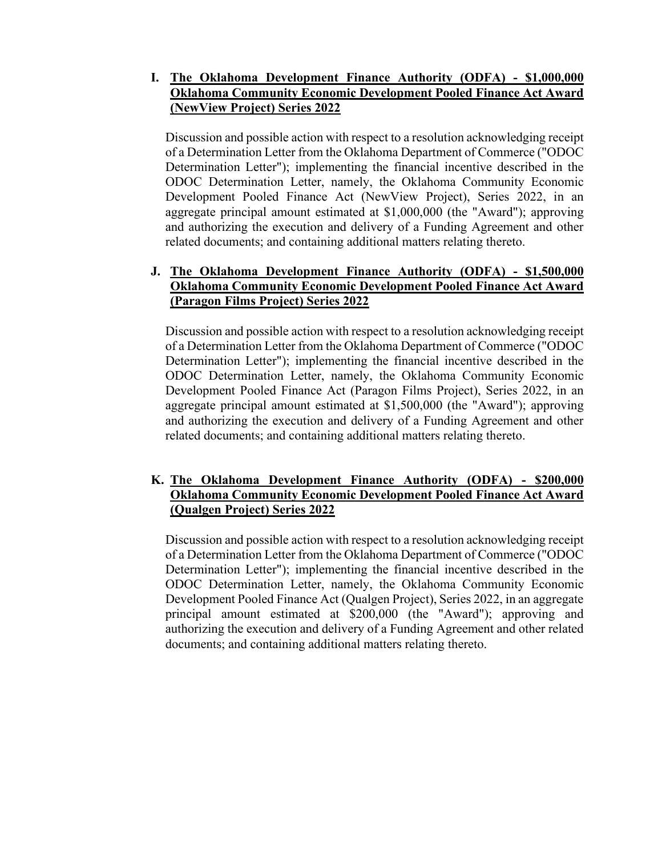# **I. The Oklahoma Development Finance Authority (ODFA) - \$1,000,000 Oklahoma Community Economic Development Pooled Finance Act Award (NewView Project) Series 2022**

Discussion and possible action with respect to a resolution acknowledging receipt of a Determination Letter from the Oklahoma Department of Commerce ("ODOC Determination Letter"); implementing the financial incentive described in the ODOC Determination Letter, namely, the Oklahoma Community Economic Development Pooled Finance Act (NewView Project), Series 2022, in an aggregate principal amount estimated at \$1,000,000 (the "Award"); approving and authorizing the execution and delivery of a Funding Agreement and other related documents; and containing additional matters relating thereto.

# **J. The Oklahoma Development Finance Authority (ODFA) - \$1,500,000 Oklahoma Community Economic Development Pooled Finance Act Award (Paragon Films Project) Series 2022**

Discussion and possible action with respect to a resolution acknowledging receipt of a Determination Letter from the Oklahoma Department of Commerce ("ODOC Determination Letter"); implementing the financial incentive described in the ODOC Determination Letter, namely, the Oklahoma Community Economic Development Pooled Finance Act (Paragon Films Project), Series 2022, in an aggregate principal amount estimated at \$1,500,000 (the "Award"); approving and authorizing the execution and delivery of a Funding Agreement and other related documents; and containing additional matters relating thereto.

### **K. The Oklahoma Development Finance Authority (ODFA) - \$200,000 Oklahoma Community Economic Development Pooled Finance Act Award (Qualgen Project) Series 2022**

Discussion and possible action with respect to a resolution acknowledging receipt of a Determination Letter from the Oklahoma Department of Commerce ("ODOC Determination Letter"); implementing the financial incentive described in the ODOC Determination Letter, namely, the Oklahoma Community Economic Development Pooled Finance Act (Qualgen Project), Series 2022, in an aggregate principal amount estimated at \$200,000 (the "Award"); approving and authorizing the execution and delivery of a Funding Agreement and other related documents; and containing additional matters relating thereto.